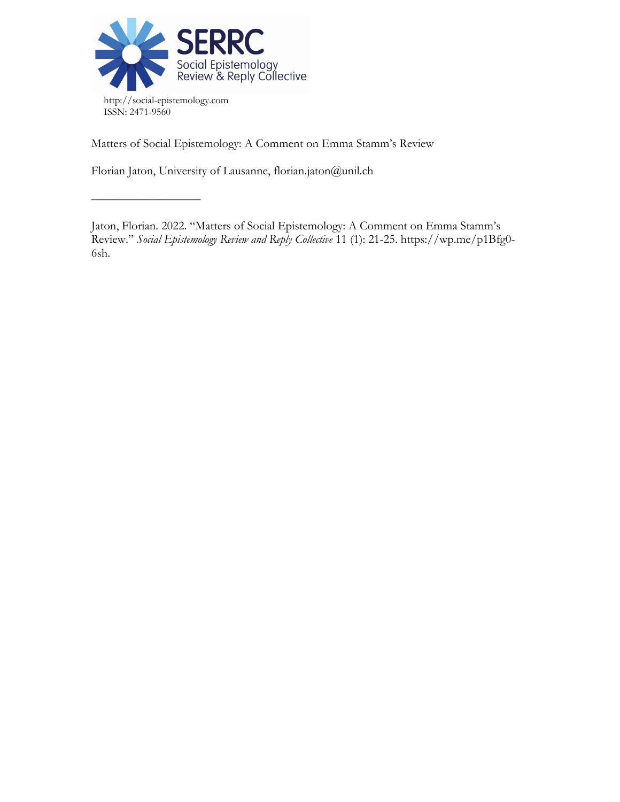

––––––––––––––––––

Matters of Social Epistemology: A Comment on Emma Stamm's Review

Florian Jaton, University of Lausanne, florian.jaton@unil.ch

Jaton, Florian. 2022. "Matters of Social Epistemology: A Comment on Emma Stamm's Review." *Social Epistemology Review and Reply Collective* 11 (1): 21-25. https://wp.me/p1Bfg0- 6sh.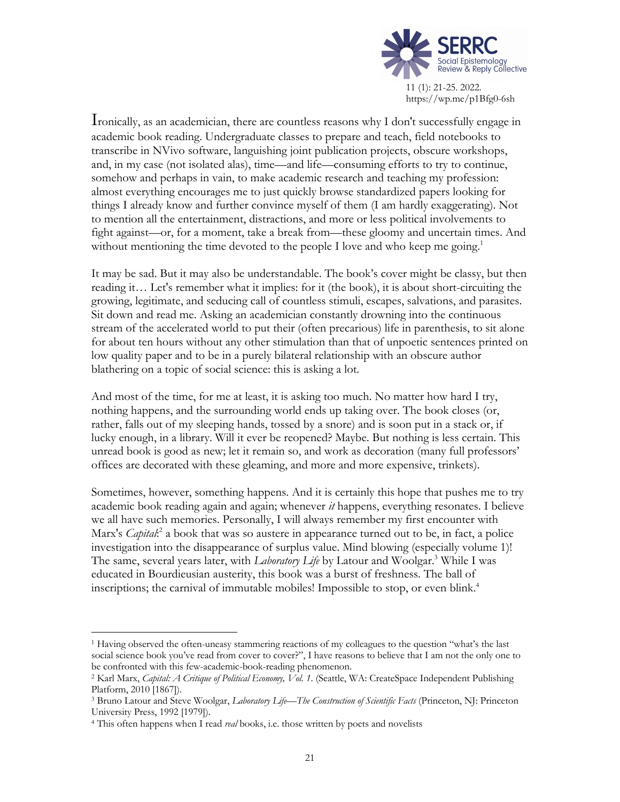

Ironically, as an academician, there are countless reasons why I don't successfully engage in academic book reading. Undergraduate classes to prepare and teach, field notebooks to transcribe in NVivo software, languishing joint publication projects, obscure workshops, and, in my case (not isolated alas), time—and life—consuming efforts to try to continue, somehow and perhaps in vain, to make academic research and teaching my profession: almost everything encourages me to just quickly browse standardized papers looking for things I already know and further convince myself of them (I am hardly exaggerating). Not to mention all the entertainment, distractions, and more or less political involvements to fight against—or, for a moment, take a break from—these gloomy and uncertain times. And without mentioning the time devoted to the people I love and who keep me going.<sup>1</sup>

It may be sad. But it may also be understandable. The book's cover might be classy, but then reading it… Let's remember what it implies: for it (the book), it is about short-circuiting the growing, legitimate, and seducing call of countless stimuli, escapes, salvations, and parasites. Sit down and read me. Asking an academician constantly drowning into the continuous stream of the accelerated world to put their (often precarious) life in parenthesis, to sit alone for about ten hours without any other stimulation than that of unpoetic sentences printed on low quality paper and to be in a purely bilateral relationship with an obscure author blathering on a topic of social science: this is asking a lot.

And most of the time, for me at least, it is asking too much. No matter how hard I try, nothing happens, and the surrounding world ends up taking over. The book closes (or, rather, falls out of my sleeping hands, tossed by a snore) and is soon put in a stack or, if lucky enough, in a library. Will it ever be reopened? Maybe. But nothing is less certain. This unread book is good as new; let it remain so, and work as decoration (many full professors' offices are decorated with these gleaming, and more and more expensive, trinkets).

Sometimes, however, something happens. And it is certainly this hope that pushes me to try academic book reading again and again; whenever *it* happens, everything resonates. I believe we all have such memories. Personally, I will always remember my first encounter with Marx's *Capital*<sup>2</sup> a book that was so austere in appearance turned out to be, in fact, a police investigation into the disappearance of surplus value. Mind blowing (especially volume 1)! The same, several years later, with *Laboratory Life* by Latour and Woolgar.3 While I was educated in Bourdieusian austerity, this book was a burst of freshness. The ball of inscriptions; the carnival of immutable mobiles! Impossible to stop, or even blink.<sup>4</sup>

<sup>1</sup> Having observed the often-uneasy stammering reactions of my colleagues to the question "what's the last social science book you've read from cover to cover?", I have reasons to believe that I am not the only one to be confronted with this few-academic-book-reading phenomenon.

<sup>2</sup> Karl Marx, *Capital: A Critique of Political Economy, Vol. 1*. (Seattle, WA: CreateSpace Independent Publishing Platform, 2010 [1867]).

<sup>3</sup> Bruno Latour and Steve Woolgar, *Laboratory Life—The Construction of Scientific Facts* (Princeton, NJ: Princeton University Press, 1992 [1979]).

<sup>4</sup> This often happens when I read *real* books, i.e. those written by poets and novelists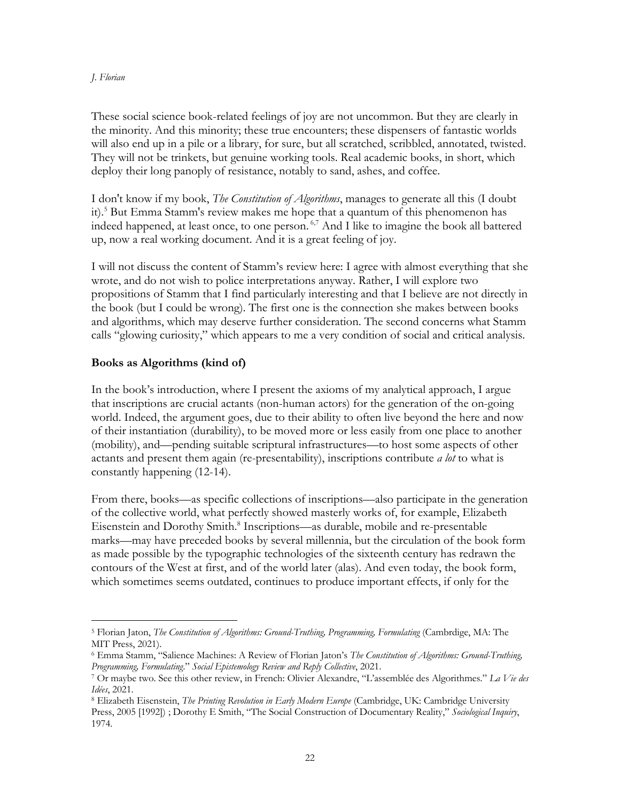### *J. Florian*

These social science book-related feelings of joy are not uncommon. But they are clearly in the minority. And this minority; these true encounters; these dispensers of fantastic worlds will also end up in a pile or a library, for sure, but all scratched, scribbled, annotated, twisted. They will not be trinkets, but genuine working tools. Real academic books, in short, which deploy their long panoply of resistance, notably to sand, ashes, and coffee.

I don't know if my book, *The Constitution of Algorithms*, manages to generate all this (I doubt it). <sup>5</sup> But Emma Stamm's review makes me hope that a quantum of this phenomenon has indeed happened, at least once, to one person. 6,7 And I like to imagine the book all battered up, now a real working document. And it is a great feeling of joy.

I will not discuss the content of Stamm's review here: I agree with almost everything that she wrote, and do not wish to police interpretations anyway. Rather, I will explore two propositions of Stamm that I find particularly interesting and that I believe are not directly in the book (but I could be wrong). The first one is the connection she makes between books and algorithms, which may deserve further consideration. The second concerns what Stamm calls "glowing curiosity," which appears to me a very condition of social and critical analysis.

# **Books as Algorithms (kind of)**

In the book's introduction, where I present the axioms of my analytical approach, I argue that inscriptions are crucial actants (non-human actors) for the generation of the on-going world. Indeed, the argument goes, due to their ability to often live beyond the here and now of their instantiation (durability), to be moved more or less easily from one place to another (mobility), and—pending suitable scriptural infrastructures—to host some aspects of other actants and present them again (re-presentability), inscriptions contribute *a lot* to what is constantly happening (12-14).

From there, books—as specific collections of inscriptions—also participate in the generation of the collective world, what perfectly showed masterly works of, for example, Elizabeth Eisenstein and Dorothy Smith.8 Inscriptions—as durable, mobile and re-presentable marks—may have preceded books by several millennia, but the circulation of the book form as made possible by the typographic technologies of the sixteenth century has redrawn the contours of the West at first, and of the world later (alas). And even today, the book form, which sometimes seems outdated, continues to produce important effects, if only for the

<sup>5</sup> Florian Jaton, *The Constitution of Algorithms: Ground-Truthing, Programming, Formulating* (Cambrdige, MA: The MIT Press, 2021).

<sup>6</sup> Emma Stamm, "Salience Machines: A Review of Florian Jaton's *The Constitution of Algorithms: Ground-Truthing, Programming, Formulating*." *Social Epistemology Review and Reply Collective*, 2021.

<sup>7</sup> Or maybe two. See this other review, in French: Olivier Alexandre, "L'assemblée des Algorithmes." *La Vie des Idées*, 2021.

<sup>8</sup> Elizabeth Eisenstein, *The Printing Revolution in Early Modern Europe* (Cambridge, UK: Cambridge University Press, 2005 [1992]) ; Dorothy E Smith, "The Social Construction of Documentary Reality," *Sociological Inquiry*, 1974.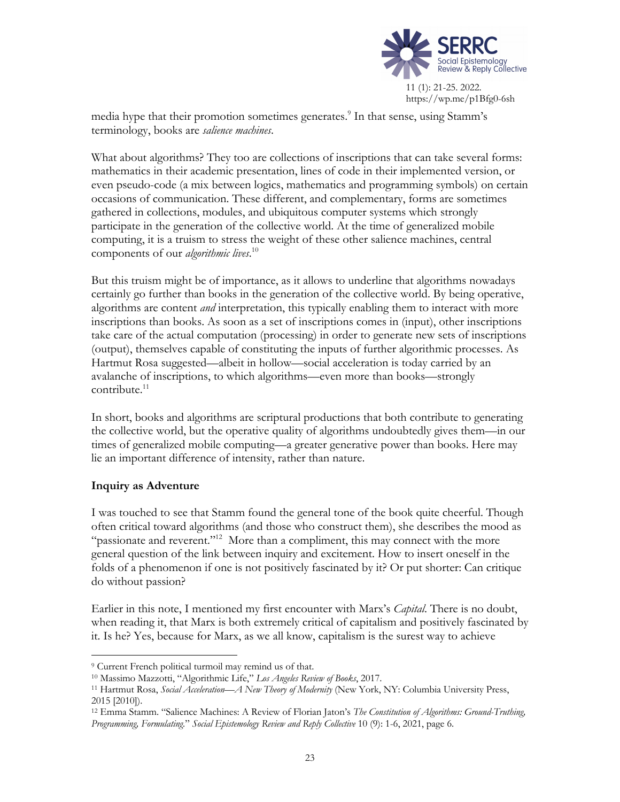

media hype that their promotion sometimes generates.<sup>9</sup> In that sense, using Stamm's terminology, books are *salience machines*.

What about algorithms? They too are collections of inscriptions that can take several forms: mathematics in their academic presentation, lines of code in their implemented version, or even pseudo-code (a mix between logics, mathematics and programming symbols) on certain occasions of communication. These different, and complementary, forms are sometimes gathered in collections, modules, and ubiquitous computer systems which strongly participate in the generation of the collective world. At the time of generalized mobile computing, it is a truism to stress the weight of these other salience machines, central components of our *algorithmic lives*. 10

But this truism might be of importance, as it allows to underline that algorithms nowadays certainly go further than books in the generation of the collective world. By being operative, algorithms are content *and* interpretation, this typically enabling them to interact with more inscriptions than books. As soon as a set of inscriptions comes in (input), other inscriptions take care of the actual computation (processing) in order to generate new sets of inscriptions (output), themselves capable of constituting the inputs of further algorithmic processes. As Hartmut Rosa suggested—albeit in hollow—social acceleration is today carried by an avalanche of inscriptions, to which algorithms—even more than books—strongly contribute.<sup>11</sup>

In short, books and algorithms are scriptural productions that both contribute to generating the collective world, but the operative quality of algorithms undoubtedly gives them—in our times of generalized mobile computing—a greater generative power than books. Here may lie an important difference of intensity, rather than nature.

# **Inquiry as Adventure**

I was touched to see that Stamm found the general tone of the book quite cheerful. Though often critical toward algorithms (and those who construct them), she describes the mood as "passionate and reverent."<sup>12</sup> More than a compliment, this may connect with the more general question of the link between inquiry and excitement. How to insert oneself in the folds of a phenomenon if one is not positively fascinated by it? Or put shorter: Can critique do without passion?

Earlier in this note, I mentioned my first encounter with Marx's *Capital*. There is no doubt, when reading it, that Marx is both extremely critical of capitalism and positively fascinated by it. Is he? Yes, because for Marx, as we all know, capitalism is the surest way to achieve

<sup>9</sup> Current French political turmoil may remind us of that.

<sup>10</sup> Massimo Mazzotti, "Algorithmic Life," *Los Angeles Review of Books*, 2017.

<sup>11</sup> Hartmut Rosa, *Social Acceleration—A New Theory of Modernity* (New York, NY: Columbia University Press, 2015 [2010]).

<sup>12</sup> Emma Stamm. "Salience Machines: A Review of Florian Jaton's *The Constitution of Algorithms: Ground-Truthing, Programming, Formulating.*" *Social Epistemology Review and Reply Collective* 10 (9): 1-6, 2021, page 6.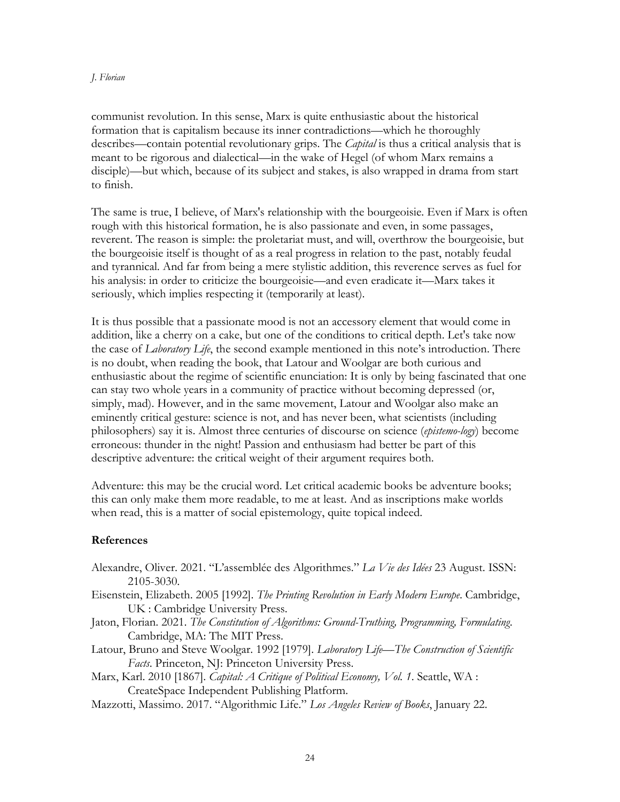### *J. Florian*

communist revolution. In this sense, Marx is quite enthusiastic about the historical formation that is capitalism because its inner contradictions—which he thoroughly describes—contain potential revolutionary grips. The *Capital* is thus a critical analysis that is meant to be rigorous and dialectical—in the wake of Hegel (of whom Marx remains a disciple)—but which, because of its subject and stakes, is also wrapped in drama from start to finish.

The same is true, I believe, of Marx's relationship with the bourgeoisie. Even if Marx is often rough with this historical formation, he is also passionate and even, in some passages, reverent. The reason is simple: the proletariat must, and will, overthrow the bourgeoisie, but the bourgeoisie itself is thought of as a real progress in relation to the past, notably feudal and tyrannical. And far from being a mere stylistic addition, this reverence serves as fuel for his analysis: in order to criticize the bourgeoisie—and even eradicate it—Marx takes it seriously, which implies respecting it (temporarily at least).

It is thus possible that a passionate mood is not an accessory element that would come in addition, like a cherry on a cake, but one of the conditions to critical depth. Let's take now the case of *Laboratory Life*, the second example mentioned in this note's introduction. There is no doubt, when reading the book, that Latour and Woolgar are both curious and enthusiastic about the regime of scientific enunciation: It is only by being fascinated that one can stay two whole years in a community of practice without becoming depressed (or, simply, mad). However, and in the same movement, Latour and Woolgar also make an eminently critical gesture: science is not, and has never been, what scientists (including philosophers) say it is. Almost three centuries of discourse on science (*epistemo-logy*) become erroneous: thunder in the night! Passion and enthusiasm had better be part of this descriptive adventure: the critical weight of their argument requires both.

Adventure: this may be the crucial word. Let critical academic books be adventure books; this can only make them more readable, to me at least. And as inscriptions make worlds when read, this is a matter of social epistemology, quite topical indeed.

# **References**

- Alexandre, Oliver. 2021. "L'assemblée des Algorithmes." *La Vie des Idées* 23 August. ISSN: 2105-3030.
- Eisenstein, Elizabeth. 2005 [1992]. *The Printing Revolution in Early Modern Europe*. Cambridge, UK : Cambridge University Press.
- Jaton, Florian. 2021. *The Constitution of Algorithms: Ground-Truthing, Programming, Formulating*. Cambridge, MA: The MIT Press.
- Latour, Bruno and Steve Woolgar. 1992 [1979]. *Laboratory Life—The Construction of Scientific Facts*. Princeton, NJ: Princeton University Press.
- Marx, Karl. 2010 [1867]. *Capital: A Critique of Political Economy, Vol. 1*. Seattle, WA : CreateSpace Independent Publishing Platform.
- Mazzotti, Massimo. 2017. "Algorithmic Life." *Los Angeles Review of Books*, January 22.